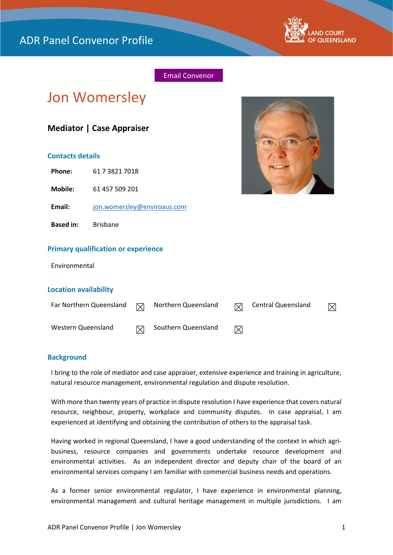

# Email Convenor

# Jon Womersley

# **Mediator | Case Appraiser**

## **Contacts details**

**Phone:** 61 7 3821 7018

**Mobile:** 61 457 509 201

**Email:** [jon.womersley@enviroaus.com](mailto:jon.womersley@enviroaus.com)

**Based in:** Brisbane

#### **Primary qualification or experience**

Environmental

#### **Location availability**

| Far Northern Queensland | $\triangledown$ | Northern Queensland | $\boxtimes$ | Central Queensland | $\boxtimes$ |
|-------------------------|-----------------|---------------------|-------------|--------------------|-------------|
| Western Queensland      | $\boxtimes$     | Southern Queensland | ⊠           |                    |             |

#### **Background**

I bring to the role of mediator and case appraiser, extensive experience and training in agriculture, natural resource management, environmental regulation and dispute resolution.

With more than twenty years of practice in dispute resolution I have experience that covers natural resource, neighbour, property, workplace and community disputes. In case appraisal, I am experienced at identifying and obtaining the contribution of others to the appraisal task.

Having worked in regional Queensland, I have a good understanding of the context in which agribusiness, resource companies and governments undertake resource development and environmental activities. As an independent director and deputy chair of the board of an environmental services company I am familiar with commercial business needs and operations.

As a former senior environmental regulator, I have experience in environmental planning, environmental management and cultural heritage management in multiple jurisdictions. I am